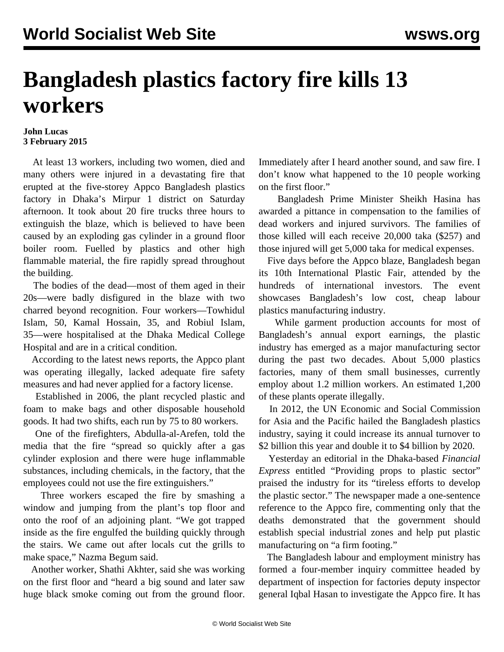## **Bangladesh plastics factory fire kills 13 workers**

## **John Lucas 3 February 2015**

 At least 13 workers, including two women, died and many others were injured in a devastating fire that erupted at the five-storey Appco Bangladesh plastics factory in Dhaka's Mirpur 1 district on Saturday afternoon. It took about 20 fire trucks three hours to extinguish the blaze, which is believed to have been caused by an exploding gas cylinder in a ground floor boiler room. Fuelled by plastics and other high flammable material, the fire rapidly spread throughout the building.

 The bodies of the dead—most of them aged in their 20s—were badly disfigured in the blaze with two charred beyond recognition. Four workers—Towhidul Islam, 50, Kamal Hossain, 35, and Robiul Islam, 35—were hospitalised at the Dhaka Medical College Hospital and are in a critical condition.

 According to the latest news reports, the Appco plant was operating illegally, lacked adequate fire safety measures and had never applied for a factory license.

 Established in 2006, the plant recycled plastic and foam to make bags and other disposable household goods. It had two shifts, each run by 75 to 80 workers.

 One of the firefighters, Abdulla-al-Arefen, told the media that the fire "spread so quickly after a gas cylinder explosion and there were huge inflammable substances, including chemicals, in the factory, that the employees could not use the fire extinguishers."

 Three workers escaped the fire by smashing a window and jumping from the plant's top floor and onto the roof of an adjoining plant. "We got trapped inside as the fire engulfed the building quickly through the stairs. We came out after locals cut the grills to make space," Nazma Begum said.

 Another worker, Shathi Akhter, said she was working on the first floor and "heard a big sound and later saw huge black smoke coming out from the ground floor.

Immediately after I heard another sound, and saw fire. I don't know what happened to the 10 people working on the first floor."

 Bangladesh Prime Minister Sheikh Hasina has awarded a pittance in compensation to the families of dead workers and injured survivors. The families of those killed will each receive 20,000 taka (\$257) and those injured will get 5,000 taka for medical expenses.

 Five days before the Appco blaze, Bangladesh began its 10th International Plastic Fair, attended by the hundreds of international investors. The event showcases Bangladesh's low cost, cheap labour plastics manufacturing industry.

 While garment production accounts for most of Bangladesh's annual export earnings, the plastic industry has emerged as a major manufacturing sector during the past two decades. About 5,000 plastics factories, many of them small businesses, currently employ about 1.2 million workers. An estimated 1,200 of these plants operate illegally.

 In 2012, the UN Economic and Social Commission for Asia and the Pacific hailed the Bangladesh plastics industry, saying it could increase its annual turnover to \$2 billion this year and double it to \$4 billion by 2020.

 Yesterday an editorial in the Dhaka-based *Financial Express* entitled "Providing props to plastic sector" praised the industry for its "tireless efforts to develop the plastic sector." The newspaper made a one-sentence reference to the Appco fire, commenting only that the deaths demonstrated that the government should establish special industrial zones and help put plastic manufacturing on "a firm footing."

 The Bangladesh labour and employment ministry has formed a four-member inquiry committee headed by department of inspection for factories deputy inspector general Iqbal Hasan to investigate the Appco fire. It has